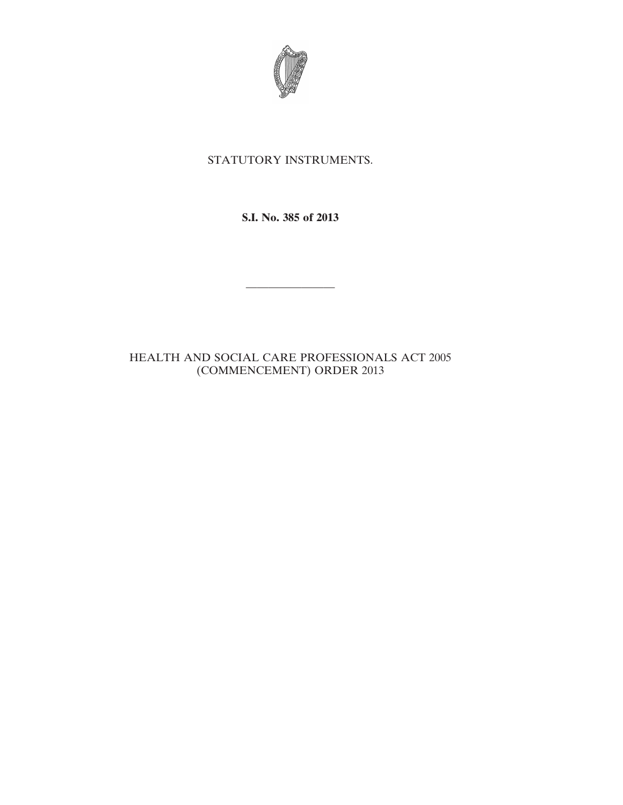

## STATUTORY INSTRUMENTS.

**S.I. No. 385 of 2013**

————————

## HEALTH AND SOCIAL CARE PROFESSIONALS ACT 2005 (COMMENCEMENT) ORDER 2013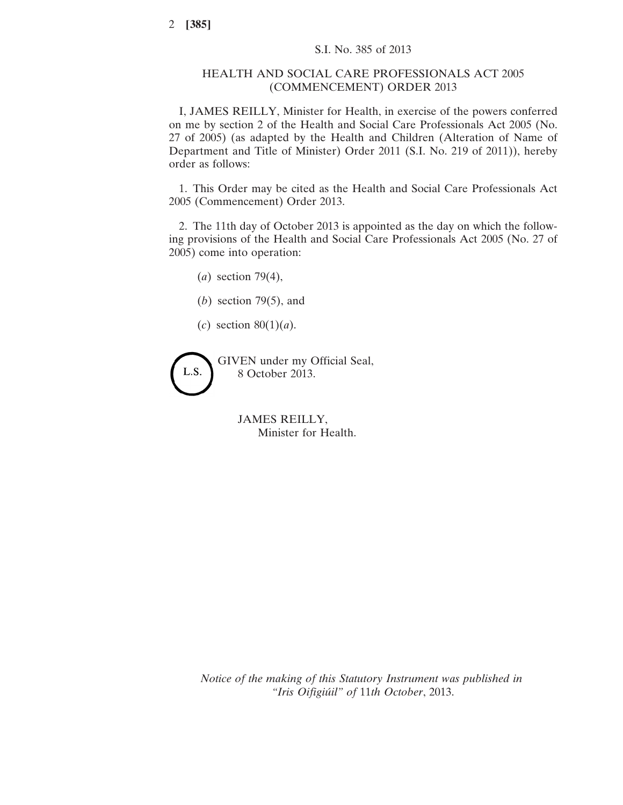## HEALTH AND SOCIAL CARE PROFESSIONALS ACT 2005 (COMMENCEMENT) ORDER 2013

I, JAMES REILLY, Minister for Health, in exercise of the powers conferred on me by section 2 of the Health and Social Care Professionals Act 2005 (No. 27 of 2005) (as adapted by the Health and Children (Alteration of Name of Department and Title of Minister) Order 2011 (S.I. No. 219 of 2011)), hereby order as follows:

1. This Order may be cited as the Health and Social Care Professionals Act 2005 (Commencement) Order 2013.

2. The 11th day of October 2013 is appointed as the day on which the following provisions of the Health and Social Care Professionals Act 2005 (No. 27 of 2005) come into operation:

(*a*) section 79(4),

- (*b*) section 79(5), and
- (*c*) section 80(1)(*a*).

GIVEN under my Official Seal, L.S. 8 October 2013.

> JAMES REILLY, Minister for Health.

*Notice of the making of this Statutory Instrument was published in "Iris Oifigiúil" of* 11*th October*, 2013.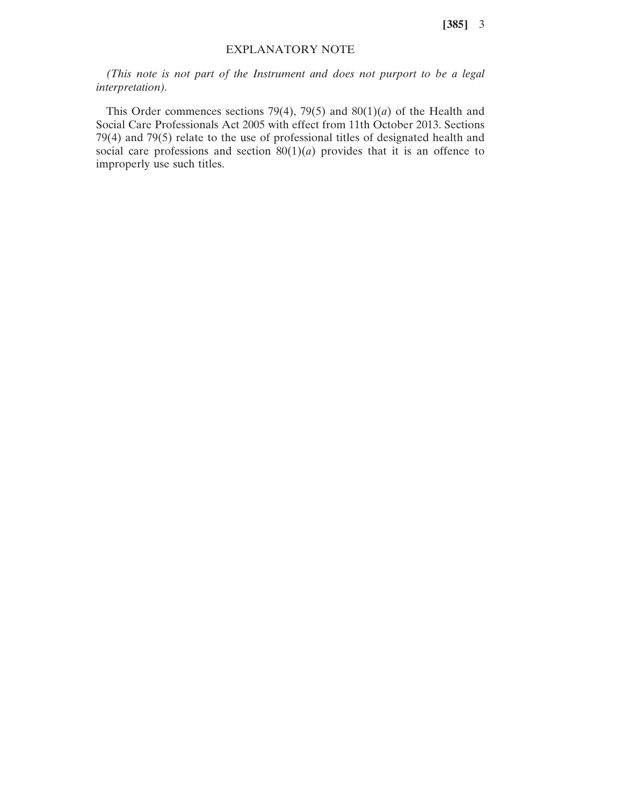**[385]** 3

## EXPLANATORY NOTE

*(This note is not part of the Instrument and does not purport to be a legal interpretation).*

This Order commences sections 79(4), 79(5) and 80(1)(*a*) of the Health and Social Care Professionals Act 2005 with effect from 11th October 2013. Sections 79(4) and 79(5) relate to the use of professional titles of designated health and social care professions and section  $80(1)(a)$  provides that it is an offence to improperly use such titles.